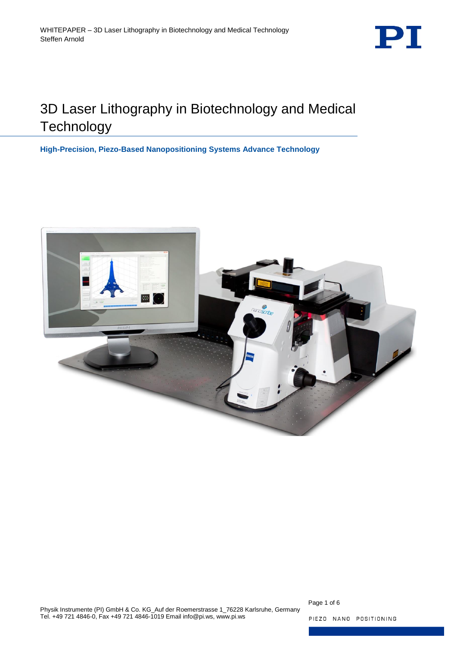

# 3D Laser Lithography in Biotechnology and Medical **Technology**

**High-Precision, Piezo-Based Nanopositioning Systems Advance Technology**



Page 1 of 6

PIEZO NANO POSITIONING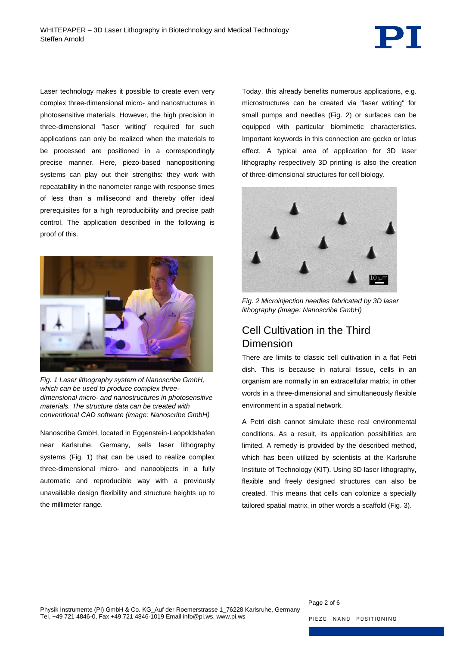

Laser technology makes it possible to create even very complex three-dimensional micro- and nanostructures in photosensitive materials. However, the high precision in three-dimensional "laser writing" required for such applications can only be realized when the materials to be processed are positioned in a correspondingly precise manner. Here, piezo-based nanopositioning systems can play out their strengths: they work with repeatability in the nanometer range with response times of less than a millisecond and thereby offer ideal prerequisites for a high reproducibility and precise path control. The application described in the following is proof of this.



*Fig. 1 Laser lithography system of Nanoscribe GmbH, which can be used to produce complex threedimensional micro- and nanostructures in photosensitive materials. The structure data can be created with conventional CAD software (image: Nanoscribe GmbH)*

<span id="page-1-0"></span>Nanoscribe GmbH, located in Eggenstein-Leopoldshafen near Karlsruhe, Germany, sells laser lithography systems [\(Fig. 1\)](#page-1-0) that can be used to realize complex three-dimensional micro- and nanoobjects in a fully automatic and reproducible way with a previously unavailable design flexibility and structure heights up to the millimeter range.

Today, this already benefits numerous applications, e.g. microstructures can be created via "laser writing" for small pumps and needles [\(Fig. 2\)](#page-1-1) or surfaces can be equipped with particular biomimetic characteristics. Important keywords in this connection are gecko or lotus effect. A typical area of application for 3D laser lithography respectively 3D printing is also the creation of three-dimensional structures for cell biology.



*Fig. 2 Microinjection needles fabricated by 3D laser lithography (image: Nanoscribe GmbH)*

# <span id="page-1-1"></span>Cell Cultivation in the Third Dimension

There are limits to classic cell cultivation in a flat Petri dish. This is because in natural tissue, cells in an organism are normally in an extracellular matrix, in other words in a three-dimensional and simultaneously flexible environment in a spatial network.

A Petri dish cannot simulate these real environmental conditions. As a result, its application possibilities are limited. A remedy is provided by the described method, which has been utilized by scientists at the Karlsruhe Institute of Technology (KIT). Using 3D laser lithography, flexible and freely designed structures can also be created. This means that cells can colonize a specially tailored spatial matrix, in other words a scaffold [\(Fig. 3\)](#page-2-0).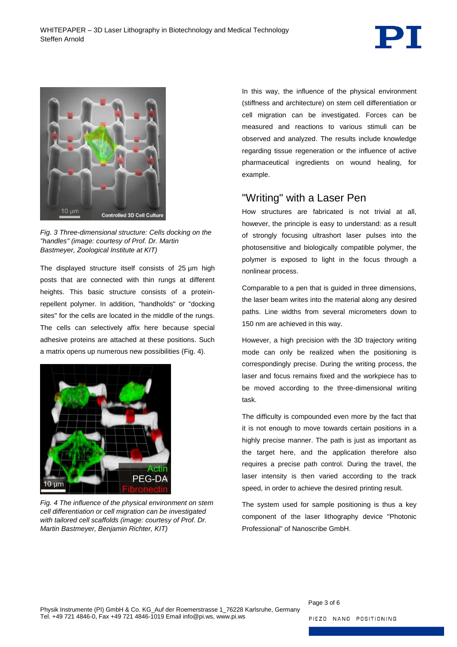



*Fig. 3 Three-dimensional structure: Cells docking on the "handles" (image: courtesy of Prof. Dr. Martin Bastmeyer, Zoological Institute at KIT)*

<span id="page-2-0"></span>The displayed structure itself consists of 25 µm high posts that are connected with thin rungs at different heights. This basic structure consists of a proteinrepellent polymer. In addition, "handholds" or "docking sites" for the cells are located in the middle of the rungs. The cells can selectively affix here because special adhesive proteins are attached at these positions. Such a matrix opens up numerous new possibilities [\(Fig. 4\)](#page-2-1).

<span id="page-2-1"></span>

*Fig. 4 The influence of the physical environment on stem cell differentiation or cell migration can be investigated with tailored cell scaffolds (image: courtesy of Prof. Dr. Martin Bastmeyer, Benjamin Richter, KIT)*

In this way, the influence of the physical environment (stiffness and architecture) on stem cell differentiation or cell migration can be investigated. Forces can be measured and reactions to various stimuli can be observed and analyzed. The results include knowledge regarding tissue regeneration or the influence of active pharmaceutical ingredients on wound healing, for example.

### "Writing" with a Laser Pen

How structures are fabricated is not trivial at all, however, the principle is easy to understand: as a result of strongly focusing ultrashort laser pulses into the photosensitive and biologically compatible polymer, the polymer is exposed to light in the focus through a nonlinear process.

Comparable to a pen that is guided in three dimensions, the laser beam writes into the material along any desired paths. Line widths from several micrometers down to 150 nm are achieved in this way.

However, a high precision with the 3D trajectory writing mode can only be realized when the positioning is correspondingly precise. During the writing process, the laser and focus remains fixed and the workpiece has to be moved according to the three-dimensional writing task.

The difficulty is compounded even more by the fact that it is not enough to move towards certain positions in a highly precise manner. The path is just as important as the target here, and the application therefore also requires a precise path control. During the travel, the laser intensity is then varied according to the track speed, in order to achieve the desired printing result.

The system used for sample positioning is thus a key component of the laser lithography device "Photonic Professional" of Nanoscribe GmbH.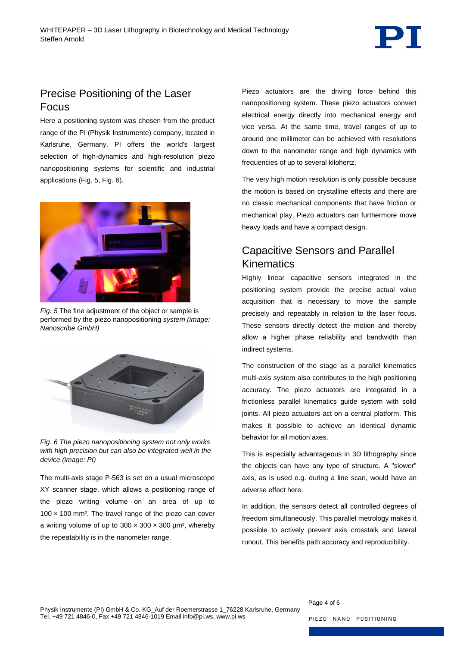# Precise Positioning of the Laser Focus

Here a positioning system was chosen from the product range of the PI (Physik Instrumente) company, located in Karlsruhe, Germany. PI offers the world's largest selection of high-dynamics and high-resolution piezo nanopositioning systems for scientific and industrial applications [\(Fig. 5,](#page-3-0) [Fig. 6\)](#page-3-1).



*Fig. 5* The fine adjustment of the object or sample is performed by the piezo nanopositioning *system (image: Nanoscribe GmbH)*

<span id="page-3-0"></span>

<span id="page-3-1"></span>*Fig. 6 The piezo nanopositioning system not only works with high precision but can also be integrated well in the device (image: PI)*

The multi-axis stage P-563 is set on a usual microscope XY scanner stage, which allows a positioning range of the piezo writing volume on an area of up to  $100 \times 100$  mm<sup>2</sup>. The travel range of the piezo can cover a writing volume of up to  $300 \times 300 \times 300$  µm<sup>3</sup>, whereby the repeatability is in the nanometer range.

Piezo actuators are the driving force behind this nanopositioning system. These piezo actuators convert electrical energy directly into mechanical energy and vice versa. At the same time, travel ranges of up to around one millimeter can be achieved with resolutions down to the nanometer range and high dynamics with frequencies of up to several kilohertz.

The very high motion resolution is only possible because the motion is based on crystalline effects and there are no classic mechanical components that have friction or mechanical play. Piezo actuators can furthermore move heavy loads and have a compact design.

# Capacitive Sensors and Parallel Kinematics

Highly linear capacitive sensors integrated in the positioning system provide the precise actual value acquisition that is necessary to move the sample precisely and repeatably in relation to the laser focus. These sensors directly detect the motion and thereby allow a higher phase reliability and bandwidth than indirect systems.

The construction of the stage as a parallel kinematics multi-axis system also contributes to the high positioning accuracy. The piezo actuators are integrated in a frictionless parallel kinematics guide system with solid joints. All piezo actuators act on a central platform. This makes it possible to achieve an identical dynamic behavior for all motion axes.

This is especially advantageous in 3D lithography since the objects can have any type of structure. A "slower" axis, as is used e.g. during a line scan, would have an adverse effect here.

In addition, the sensors detect all controlled degrees of freedom simultaneously. This parallel metrology makes it possible to actively prevent axis crosstalk and lateral runout. This benefits path accuracy and reproducibility.

Page 4 of 6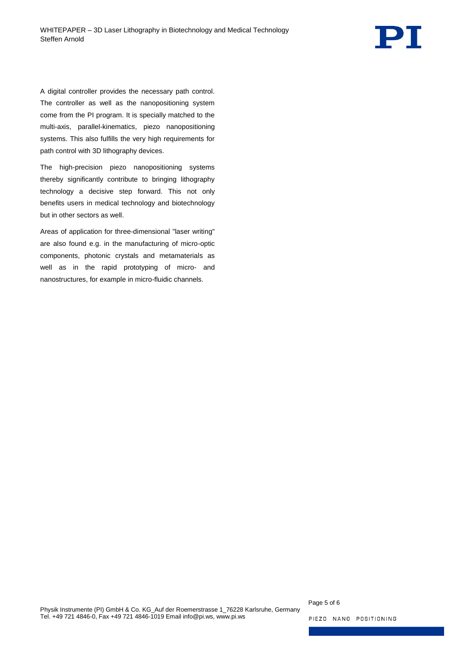

A digital controller provides the necessary path control. The controller as well as the nanopositioning system come from the PI program. It is specially matched to the multi-axis, parallel-kinematics, piezo nanopositioning systems. This also fulfills the very high requirements for path control with 3D lithography devices.

The high-precision piezo nanopositioning systems thereby significantly contribute to bringing lithography technology a decisive step forward. This not only benefits users in medical technology and biotechnology but in other sectors as well.

Areas of application for three-dimensional "laser writing" are also found e.g. in the manufacturing of micro-optic components, photonic crystals and metamaterials as well as in the rapid prototyping of micro- and nanostructures, for example in micro-fluidic channels.